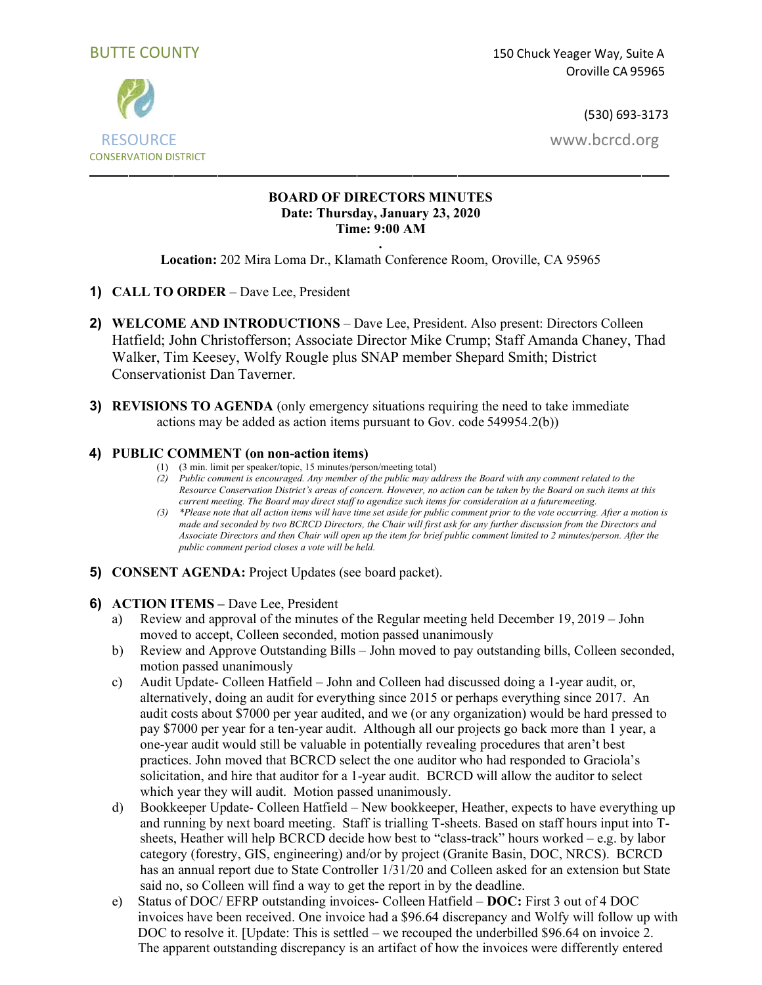

# RESOURCE [www.bcrcd.org](http://www.bcrcd.org/) CONSERVATION DISTRICT

### **BOARD OF DIRECTORS MINUTES Date: Thursday, January 23, 2020 Time: 9:00 AM**

**. Location:** 202 Mira Loma Dr., Klamath Conference Room, Oroville, CA 95965

- **1) CALL TO ORDER**  Dave Lee, President
- **2) WELCOME AND INTRODUCTIONS**  Dave Lee, President. Also present: Directors Colleen Hatfield; John Christofferson; Associate Director Mike Crump; Staff Amanda Chaney, Thad Walker, Tim Keesey, Wolfy Rougle plus SNAP member Shepard Smith; District Conservationist Dan Taverner.
- **3) REVISIONS TO AGENDA** (only emergency situations requiring the need to take immediate actions may be added as action items pursuant to Gov. code 549954.2(b))

# **4) PUBLIC COMMENT (on non-action items)**

- (1) (3 min. limit per speaker/topic, 15 minutes/person/meeting total)
- *(2) Public comment is encouraged. Any member of the public may address the Board with any comment related to the Resource Conservation District's areas of concern. However, no action can be taken by the Board on such items at this current meeting. The Board may direct staff to agendize such items for consideration at a futuremeeting.*
- *(3) \*Please note that all action items will have time set aside for public comment prior to the vote occurring. After a motion is made and seconded by two BCRCD Directors, the Chair will first ask for any further discussion from the Directors and Associate Directors and then Chair will open up the item for brief public comment limited to 2 minutes/person. After the public comment period closes a vote will be held.*
- **5) CONSENT AGENDA:** Project Updates (see board packet).
- **6) ACTION ITEMS –** Dave Lee, President
	- a) Review and approval of the minutes of the Regular meeting held December 19, 2019 John moved to accept, Colleen seconded, motion passed unanimously
	- b) Review and Approve Outstanding Bills John moved to pay outstanding bills, Colleen seconded, motion passed unanimously
	- c) Audit Update- Colleen Hatfield John and Colleen had discussed doing a 1-year audit, or, alternatively, doing an audit for everything since 2015 or perhaps everything since 2017. An audit costs about \$7000 per year audited, and we (or any organization) would be hard pressed to pay \$7000 per year for a ten-year audit. Although all our projects go back more than 1 year, a one-year audit would still be valuable in potentially revealing procedures that aren't best practices. John moved that BCRCD select the one auditor who had responded to Graciola's solicitation, and hire that auditor for a 1-year audit. BCRCD will allow the auditor to select which year they will audit. Motion passed unanimously.
	- d) Bookkeeper Update- Colleen Hatfield New bookkeeper, Heather, expects to have everything up and running by next board meeting. Staff is trialling T-sheets. Based on staff hours input into Tsheets, Heather will help BCRCD decide how best to "class-track" hours worked – e.g. by labor category (forestry, GIS, engineering) and/or by project (Granite Basin, DOC, NRCS). BCRCD has an annual report due to State Controller 1/31/20 and Colleen asked for an extension but State said no, so Colleen will find a way to get the report in by the deadline.
	- e) Status of DOC/ EFRP outstanding invoices- Colleen Hatfield **DOC:** First 3 out of 4 DOC invoices have been received. One invoice had a \$96.64 discrepancy and Wolfy will follow up with DOC to resolve it. [Update: This is settled – we recouped the underbilled \$96.64 on invoice 2. The apparent outstanding discrepancy is an artifact of how the invoices were differently entered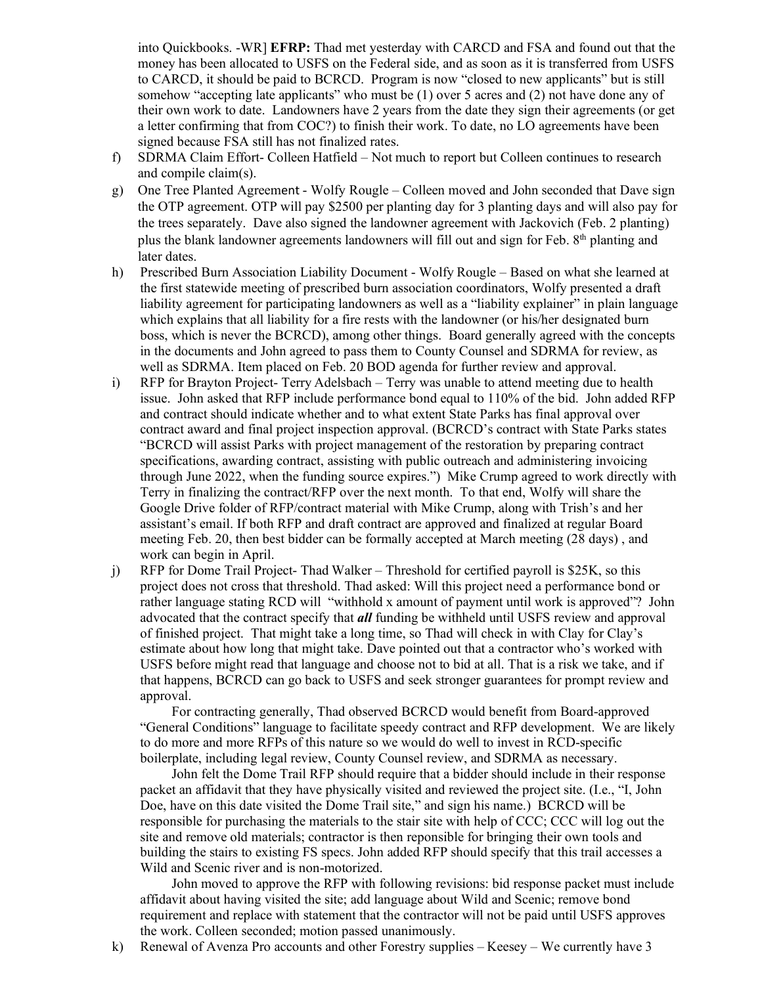into Quickbooks. -WR] **EFRP:** Thad met yesterday with CARCD and FSA and found out that the money has been allocated to USFS on the Federal side, and as soon as it is transferred from USFS to CARCD, it should be paid to BCRCD. Program is now "closed to new applicants" but is still somehow "accepting late applicants" who must be (1) over 5 acres and (2) not have done any of their own work to date. Landowners have 2 years from the date they sign their agreements (or get a letter confirming that from COC?) to finish their work. To date, no LO agreements have been signed because FSA still has not finalized rates.

- f) SDRMA Claim Effort- Colleen Hatfield Not much to report but Colleen continues to research and compile claim(s).
- g) One Tree Planted Agreement Wolfy Rougle Colleen moved and John seconded that Dave sign the OTP agreement. OTP will pay \$2500 per planting day for 3 planting days and will also pay for the trees separately. Dave also signed the landowner agreement with Jackovich (Feb. 2 planting) plus the blank landowner agreements landowners will fill out and sign for Feb. 8<sup>th</sup> planting and later dates.
- h) Prescribed Burn Association Liability Document Wolfy Rougle Based on what she learned at the first statewide meeting of prescribed burn association coordinators, Wolfy presented a draft liability agreement for participating landowners as well as a "liability explainer" in plain language which explains that all liability for a fire rests with the landowner (or his/her designated burn boss, which is never the BCRCD), among other things. Board generally agreed with the concepts in the documents and John agreed to pass them to County Counsel and SDRMA for review, as well as SDRMA. Item placed on Feb. 20 BOD agenda for further review and approval.
- i) RFP for Brayton Project- Terry Adelsbach Terry was unable to attend meeting due to health issue. John asked that RFP include performance bond equal to 110% of the bid. John added RFP and contract should indicate whether and to what extent State Parks has final approval over contract award and final project inspection approval. (BCRCD's contract with State Parks states "BCRCD will assist Parks with project management of the restoration by preparing contract specifications, awarding contract, assisting with public outreach and administering invoicing through June 2022, when the funding source expires.") Mike Crump agreed to work directly with Terry in finalizing the contract/RFP over the next month. To that end, Wolfy will share the Google Drive folder of RFP/contract material with Mike Crump, along with Trish's and her assistant's email. If both RFP and draft contract are approved and finalized at regular Board meeting Feb. 20, then best bidder can be formally accepted at March meeting (28 days) , and work can begin in April.
- j) RFP for Dome Trail Project- Thad Walker Threshold for certified payroll is \$25K, so this project does not cross that threshold. Thad asked: Will this project need a performance bond or rather language stating RCD will "withhold x amount of payment until work is approved"? John advocated that the contract specify that *all* funding be withheld until USFS review and approval of finished project. That might take a long time, so Thad will check in with Clay for Clay's estimate about how long that might take. Dave pointed out that a contractor who's worked with USFS before might read that language and choose not to bid at all. That is a risk we take, and if that happens, BCRCD can go back to USFS and seek stronger guarantees for prompt review and approval.

For contracting generally, Thad observed BCRCD would benefit from Board-approved "General Conditions" language to facilitate speedy contract and RFP development. We are likely to do more and more RFPs of this nature so we would do well to invest in RCD-specific boilerplate, including legal review, County Counsel review, and SDRMA as necessary.

John felt the Dome Trail RFP should require that a bidder should include in their response packet an affidavit that they have physically visited and reviewed the project site. (I.e., "I, John Doe, have on this date visited the Dome Trail site," and sign his name.) BCRCD will be responsible for purchasing the materials to the stair site with help of CCC; CCC will log out the site and remove old materials; contractor is then reponsible for bringing their own tools and building the stairs to existing FS specs. John added RFP should specify that this trail accesses a Wild and Scenic river and is non-motorized.

John moved to approve the RFP with following revisions: bid response packet must include affidavit about having visited the site; add language about Wild and Scenic; remove bond requirement and replace with statement that the contractor will not be paid until USFS approves the work. Colleen seconded; motion passed unanimously.

k) Renewal of Avenza Pro accounts and other Forestry supplies – Keesey – We currently have 3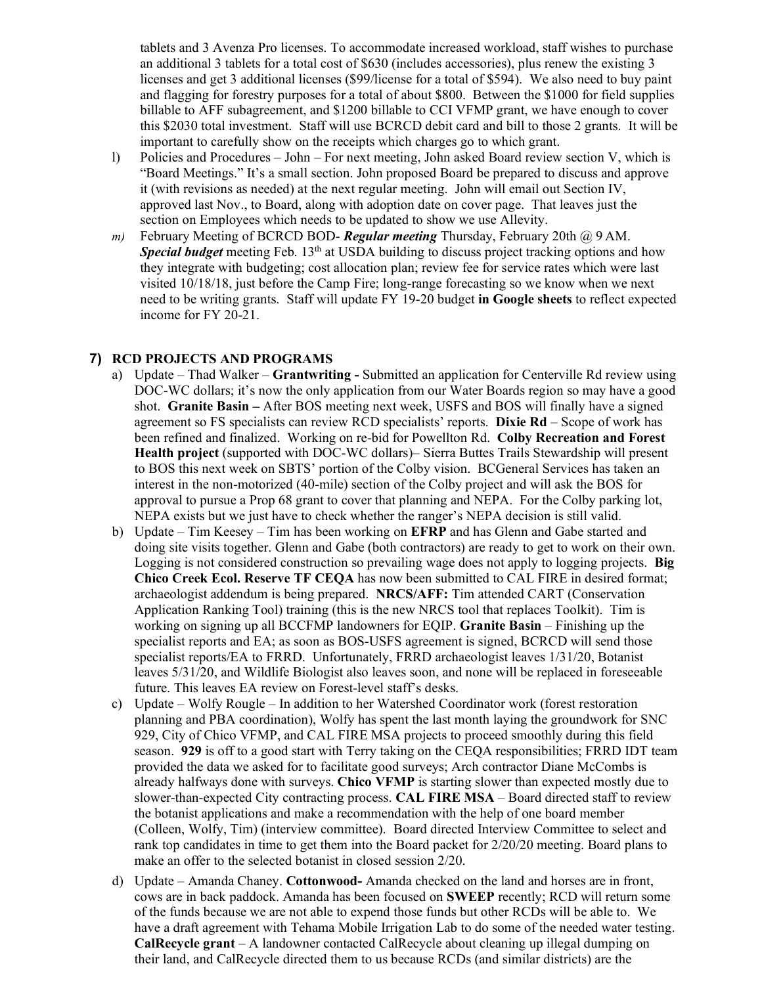tablets and 3 Avenza Pro licenses. To accommodate increased workload, staff wishes to purchase an additional 3 tablets for a total cost of \$630 (includes accessories), plus renew the existing 3 licenses and get 3 additional licenses (\$99/license for a total of \$594). We also need to buy paint and flagging for forestry purposes for a total of about \$800. Between the \$1000 for field supplies billable to AFF subagreement, and \$1200 billable to CCI VFMP grant, we have enough to cover this \$2030 total investment. Staff will use BCRCD debit card and bill to those 2 grants. It will be important to carefully show on the receipts which charges go to which grant.

- l) Policies and Procedures John For next meeting, John asked Board review section V, which is "Board Meetings." It's a small section. John proposed Board be prepared to discuss and approve it (with revisions as needed) at the next regular meeting. John will email out Section IV, approved last Nov., to Board, along with adoption date on cover page. That leaves just the section on Employees which needs to be updated to show we use Allevity.
- *m)* February Meeting of BCRCD BOD- *Regular meeting* Thursday, February 20th @ 9 AM. *Special budget* meeting Feb. 13<sup>th</sup> at USDA building to discuss project tracking options and how they integrate with budgeting; cost allocation plan; review fee for service rates which were last visited 10/18/18, just before the Camp Fire; long-range forecasting so we know when we next need to be writing grants. Staff will update FY 19-20 budget **in Google sheets** to reflect expected income for FY 20-21.

## **7) RCD PROJECTS AND PROGRAMS**

- a) Update Thad Walker **Grantwriting -** Submitted an application for Centerville Rd review using DOC-WC dollars; it's now the only application from our Water Boards region so may have a good shot. **Granite Basin –** After BOS meeting next week, USFS and BOS will finally have a signed agreement so FS specialists can review RCD specialists' reports. **Dixie Rd** – Scope of work has been refined and finalized. Working on re-bid for Powellton Rd. **Colby Recreation and Forest Health project** (supported with DOC-WC dollars)– Sierra Buttes Trails Stewardship will present to BOS this next week on SBTS' portion of the Colby vision. BCGeneral Services has taken an interest in the non-motorized (40-mile) section of the Colby project and will ask the BOS for approval to pursue a Prop 68 grant to cover that planning and NEPA. For the Colby parking lot, NEPA exists but we just have to check whether the ranger's NEPA decision is still valid.
- b) Update Tim Keesey Tim has been working on **EFRP** and has Glenn and Gabe started and doing site visits together. Glenn and Gabe (both contractors) are ready to get to work on their own. Logging is not considered construction so prevailing wage does not apply to logging projects. **Big Chico Creek Ecol. Reserve TF CEQA** has now been submitted to CAL FIRE in desired format; archaeologist addendum is being prepared. **NRCS/AFF:** Tim attended CART (Conservation Application Ranking Tool) training (this is the new NRCS tool that replaces Toolkit). Tim is working on signing up all BCCFMP landowners for EQIP. **Granite Basin** – Finishing up the specialist reports and EA; as soon as BOS-USFS agreement is signed, BCRCD will send those specialist reports/EA to FRRD. Unfortunately, FRRD archaeologist leaves 1/31/20, Botanist leaves 5/31/20, and Wildlife Biologist also leaves soon, and none will be replaced in foreseeable future. This leaves EA review on Forest-level staff's desks.
- c) Update Wolfy Rougle In addition to her Watershed Coordinator work (forest restoration planning and PBA coordination), Wolfy has spent the last month laying the groundwork for SNC 929, City of Chico VFMP, and CAL FIRE MSA projects to proceed smoothly during this field season. **929** is off to a good start with Terry taking on the CEQA responsibilities; FRRD IDT team provided the data we asked for to facilitate good surveys; Arch contractor Diane McCombs is already halfways done with surveys. **Chico VFMP** is starting slower than expected mostly due to slower-than-expected City contracting process. **CAL FIRE MSA** – Board directed staff to review the botanist applications and make a recommendation with the help of one board member (Colleen, Wolfy, Tim) (interview committee). Board directed Interview Committee to select and rank top candidates in time to get them into the Board packet for 2/20/20 meeting. Board plans to make an offer to the selected botanist in closed session 2/20.
- d) Update Amanda Chaney. **Cottonwood-** Amanda checked on the land and horses are in front, cows are in back paddock. Amanda has been focused on **SWEEP** recently; RCD will return some of the funds because we are not able to expend those funds but other RCDs will be able to. We have a draft agreement with Tehama Mobile Irrigation Lab to do some of the needed water testing. **CalRecycle grant** – A landowner contacted CalRecycle about cleaning up illegal dumping on their land, and CalRecycle directed them to us because RCDs (and similar districts) are the